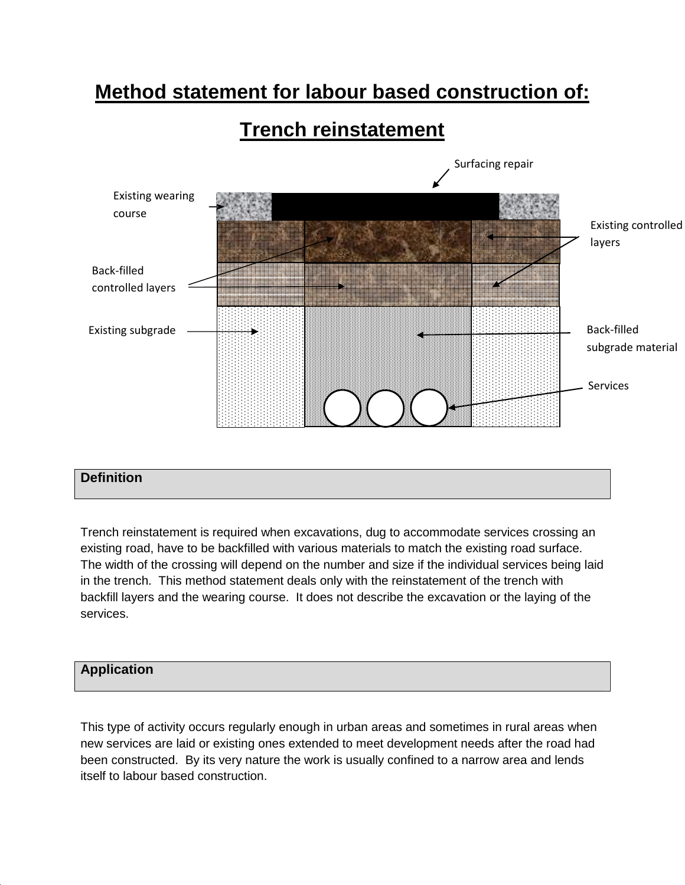# **Method statement for labour based construction of:**

# **Trench reinstatement**



# **Definition**

Trench reinstatement is required when excavations, dug to accommodate services crossing an existing road, have to be backfilled with various materials to match the existing road surface. The width of the crossing will depend on the number and size if the individual services being laid in the trench. This method statement deals only with the reinstatement of the trench with backfill layers and the wearing course. It does not describe the excavation or the laying of the services.

# **Application**

This type of activity occurs regularly enough in urban areas and sometimes in rural areas when new services are laid or existing ones extended to meet development needs after the road had been constructed. By its very nature the work is usually confined to a narrow area and lends itself to labour based construction.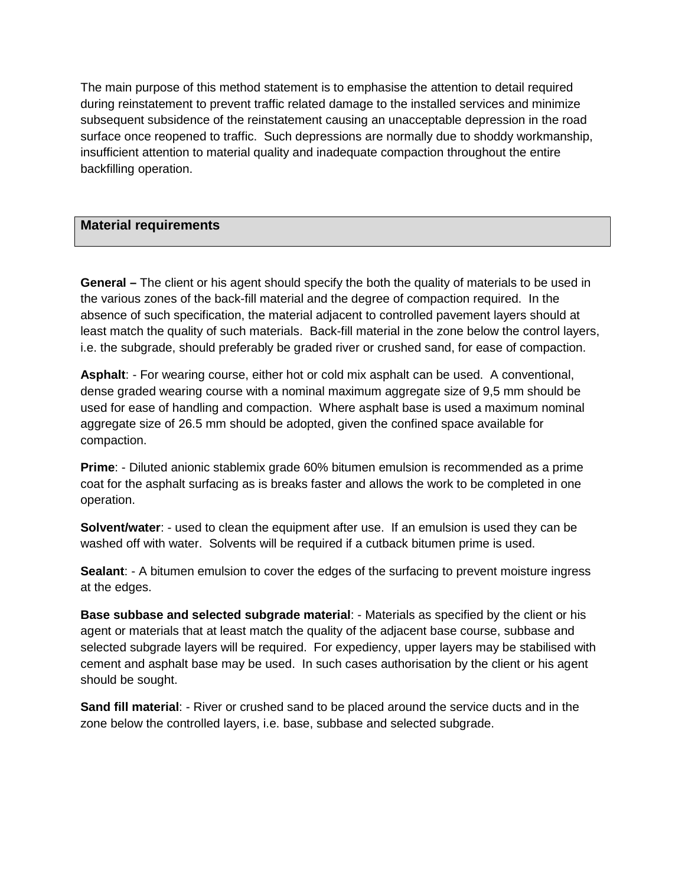The main purpose of this method statement is to emphasise the attention to detail required during reinstatement to prevent traffic related damage to the installed services and minimize subsequent subsidence of the reinstatement causing an unacceptable depression in the road surface once reopened to traffic. Such depressions are normally due to shoddy workmanship, insufficient attention to material quality and inadequate compaction throughout the entire backfilling operation.

## **Material requirements**

**General –** The client or his agent should specify the both the quality of materials to be used in the various zones of the back-fill material and the degree of compaction required. In the absence of such specification, the material adjacent to controlled pavement layers should at least match the quality of such materials. Back-fill material in the zone below the control layers, i.e. the subgrade, should preferably be graded river or crushed sand, for ease of compaction.

**Asphalt**: - For wearing course, either hot or cold mix asphalt can be used. A conventional, dense graded wearing course with a nominal maximum aggregate size of 9,5 mm should be used for ease of handling and compaction. Where asphalt base is used a maximum nominal aggregate size of 26.5 mm should be adopted, given the confined space available for compaction.

**Prime**: - Diluted anionic stablemix grade 60% bitumen emulsion is recommended as a prime coat for the asphalt surfacing as is breaks faster and allows the work to be completed in one operation.

**Solvent/water**: - used to clean the equipment after use. If an emulsion is used they can be washed off with water. Solvents will be required if a cutback bitumen prime is used.

**Sealant:** - A bitumen emulsion to cover the edges of the surfacing to prevent moisture ingress at the edges.

**Base subbase and selected subgrade material**: - Materials as specified by the client or his agent or materials that at least match the quality of the adjacent base course, subbase and selected subgrade layers will be required. For expediency, upper layers may be stabilised with cement and asphalt base may be used. In such cases authorisation by the client or his agent should be sought.

**Sand fill material**: - River or crushed sand to be placed around the service ducts and in the zone below the controlled layers, i.e. base, subbase and selected subgrade.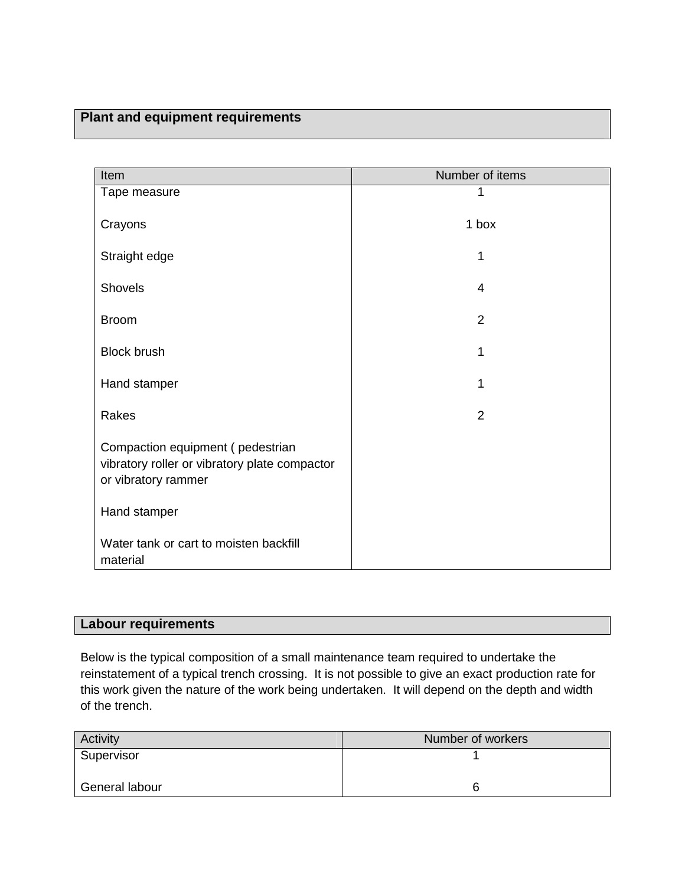# **Plant and equipment requirements**

| Item                                                                                                     | Number of items |
|----------------------------------------------------------------------------------------------------------|-----------------|
| Tape measure                                                                                             |                 |
| Crayons                                                                                                  | 1 box           |
| Straight edge                                                                                            |                 |
| Shovels                                                                                                  | 4               |
| <b>Broom</b>                                                                                             | $\overline{2}$  |
| <b>Block brush</b>                                                                                       | 1               |
| Hand stamper                                                                                             | 1               |
| Rakes                                                                                                    | 2               |
| Compaction equipment (pedestrian<br>vibratory roller or vibratory plate compactor<br>or vibratory rammer |                 |
| Hand stamper                                                                                             |                 |
| Water tank or cart to moisten backfill<br>material                                                       |                 |

# **Labour requirements**

Below is the typical composition of a small maintenance team required to undertake the reinstatement of a typical trench crossing. It is not possible to give an exact production rate for this work given the nature of the work being undertaken. It will depend on the depth and width of the trench.

| Activity       | Number of workers |
|----------------|-------------------|
| Supervisor     |                   |
| General labour | b                 |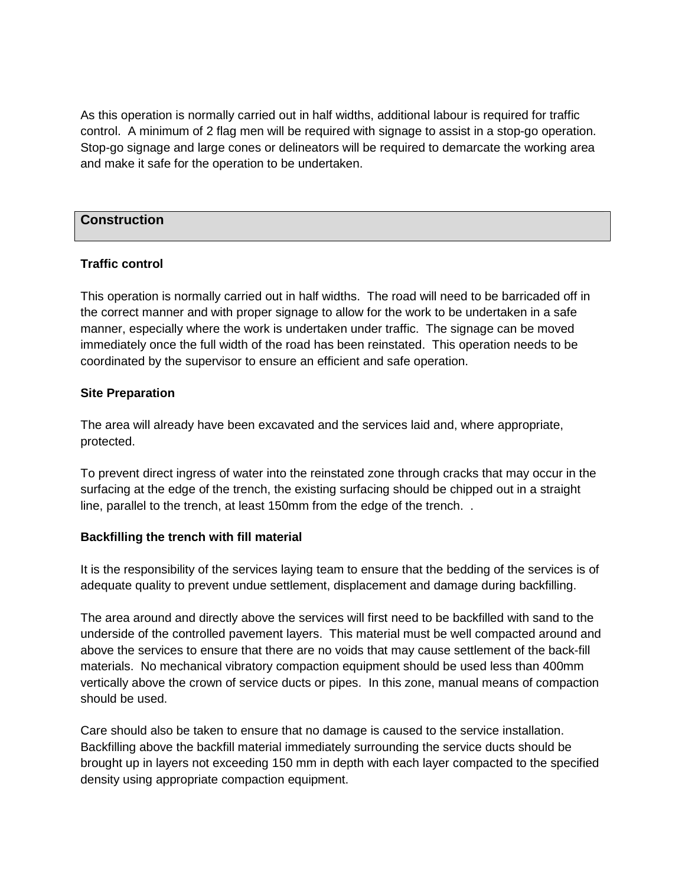As this operation is normally carried out in half widths, additional labour is required for traffic control. A minimum of 2 flag men will be required with signage to assist in a stop-go operation. Stop-go signage and large cones or delineators will be required to demarcate the working area and make it safe for the operation to be undertaken.

## **Construction**

#### **Traffic control**

This operation is normally carried out in half widths. The road will need to be barricaded off in the correct manner and with proper signage to allow for the work to be undertaken in a safe manner, especially where the work is undertaken under traffic. The signage can be moved immediately once the full width of the road has been reinstated. This operation needs to be coordinated by the supervisor to ensure an efficient and safe operation.

#### **Site Preparation**

The area will already have been excavated and the services laid and, where appropriate, protected.

To prevent direct ingress of water into the reinstated zone through cracks that may occur in the surfacing at the edge of the trench, the existing surfacing should be chipped out in a straight line, parallel to the trench, at least 150mm from the edge of the trench. .

#### **Backfilling the trench with fill material**

It is the responsibility of the services laying team to ensure that the bedding of the services is of adequate quality to prevent undue settlement, displacement and damage during backfilling.

The area around and directly above the services will first need to be backfilled with sand to the underside of the controlled pavement layers. This material must be well compacted around and above the services to ensure that there are no voids that may cause settlement of the back-fill materials. No mechanical vibratory compaction equipment should be used less than 400mm vertically above the crown of service ducts or pipes. In this zone, manual means of compaction should be used.

Care should also be taken to ensure that no damage is caused to the service installation. Backfilling above the backfill material immediately surrounding the service ducts should be brought up in layers not exceeding 150 mm in depth with each layer compacted to the specified density using appropriate compaction equipment.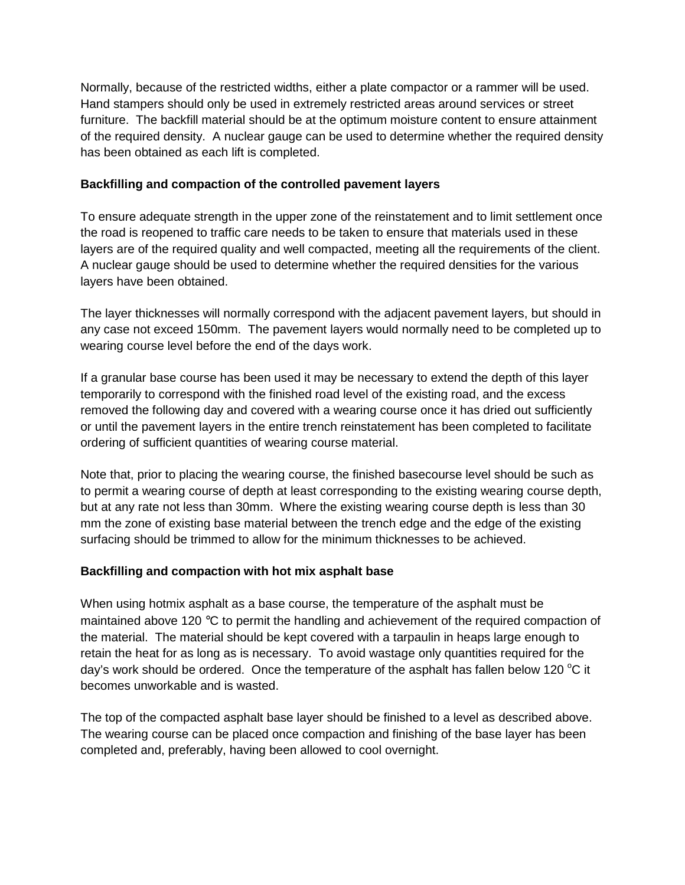Normally, because of the restricted widths, either a plate compactor or a rammer will be used. Hand stampers should only be used in extremely restricted areas around services or street furniture. The backfill material should be at the optimum moisture content to ensure attainment of the required density. A nuclear gauge can be used to determine whether the required density has been obtained as each lift is completed.

## **Backfilling and compaction of the controlled pavement layers**

To ensure adequate strength in the upper zone of the reinstatement and to limit settlement once the road is reopened to traffic care needs to be taken to ensure that materials used in these layers are of the required quality and well compacted, meeting all the requirements of the client. A nuclear gauge should be used to determine whether the required densities for the various layers have been obtained.

The layer thicknesses will normally correspond with the adjacent pavement layers, but should in any case not exceed 150mm. The pavement layers would normally need to be completed up to wearing course level before the end of the days work.

If a granular base course has been used it may be necessary to extend the depth of this layer temporarily to correspond with the finished road level of the existing road, and the excess removed the following day and covered with a wearing course once it has dried out sufficiently or until the pavement layers in the entire trench reinstatement has been completed to facilitate ordering of sufficient quantities of wearing course material.

Note that, prior to placing the wearing course, the finished basecourse level should be such as to permit a wearing course of depth at least corresponding to the existing wearing course depth, but at any rate not less than 30mm. Where the existing wearing course depth is less than 30 mm the zone of existing base material between the trench edge and the edge of the existing surfacing should be trimmed to allow for the minimum thicknesses to be achieved.

# **Backfilling and compaction with hot mix asphalt base**

When using hotmix asphalt as a base course, the temperature of the asphalt must be maintained above 120 °C to permit the handling and achievement of the required compaction of the material. The material should be kept covered with a tarpaulin in heaps large enough to retain the heat for as long as is necessary. To avoid wastage only quantities required for the day's work should be ordered. Once the temperature of the asphalt has fallen below 120  $\degree$ C it becomes unworkable and is wasted.

The top of the compacted asphalt base layer should be finished to a level as described above. The wearing course can be placed once compaction and finishing of the base layer has been completed and, preferably, having been allowed to cool overnight.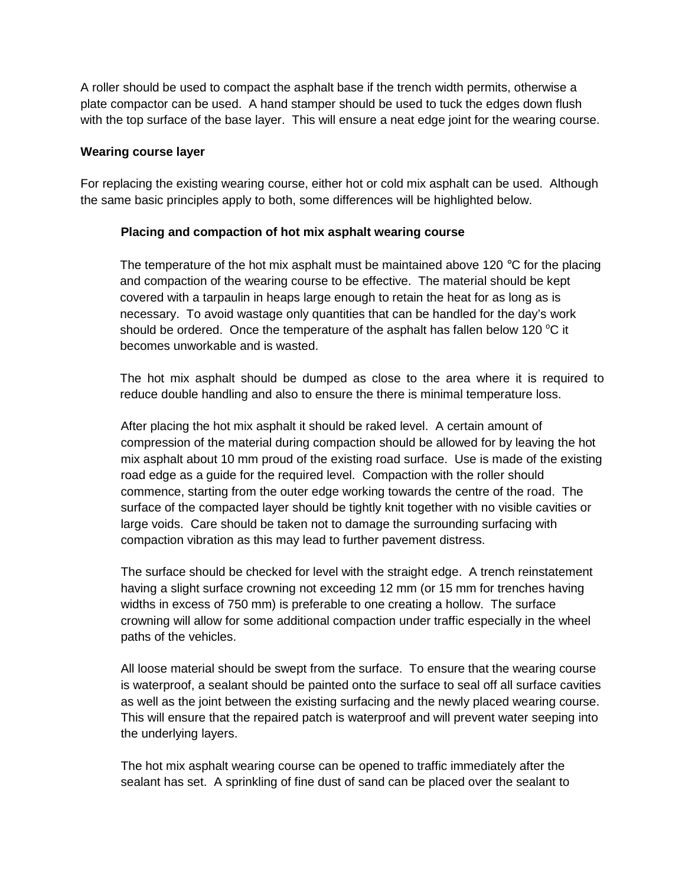A roller should be used to compact the asphalt base if the trench width permits, otherwise a plate compactor can be used. A hand stamper should be used to tuck the edges down flush with the top surface of the base layer. This will ensure a neat edge joint for the wearing course.

#### **Wearing course layer**

For replacing the existing wearing course, either hot or cold mix asphalt can be used. Although the same basic principles apply to both, some differences will be highlighted below.

#### **Placing and compaction of hot mix asphalt wearing course**

The temperature of the hot mix asphalt must be maintained above 120  $\degree$ C for the placing and compaction of the wearing course to be effective. The material should be kept covered with a tarpaulin in heaps large enough to retain the heat for as long as is necessary. To avoid wastage only quantities that can be handled for the day's work should be ordered. Once the temperature of the asphalt has fallen below 120  $^{\circ}$ C it becomes unworkable and is wasted.

The hot mix asphalt should be dumped as close to the area where it is required to reduce double handling and also to ensure the there is minimal temperature loss.

After placing the hot mix asphalt it should be raked level. A certain amount of compression of the material during compaction should be allowed for by leaving the hot mix asphalt about 10 mm proud of the existing road surface. Use is made of the existing road edge as a guide for the required level. Compaction with the roller should commence, starting from the outer edge working towards the centre of the road. The surface of the compacted layer should be tightly knit together with no visible cavities or large voids. Care should be taken not to damage the surrounding surfacing with compaction vibration as this may lead to further pavement distress.

The surface should be checked for level with the straight edge. A trench reinstatement having a slight surface crowning not exceeding 12 mm (or 15 mm for trenches having widths in excess of 750 mm) is preferable to one creating a hollow. The surface crowning will allow for some additional compaction under traffic especially in the wheel paths of the vehicles.

All loose material should be swept from the surface. To ensure that the wearing course is waterproof, a sealant should be painted onto the surface to seal off all surface cavities as well as the joint between the existing surfacing and the newly placed wearing course. This will ensure that the repaired patch is waterproof and will prevent water seeping into the underlying layers.

The hot mix asphalt wearing course can be opened to traffic immediately after the sealant has set. A sprinkling of fine dust of sand can be placed over the sealant to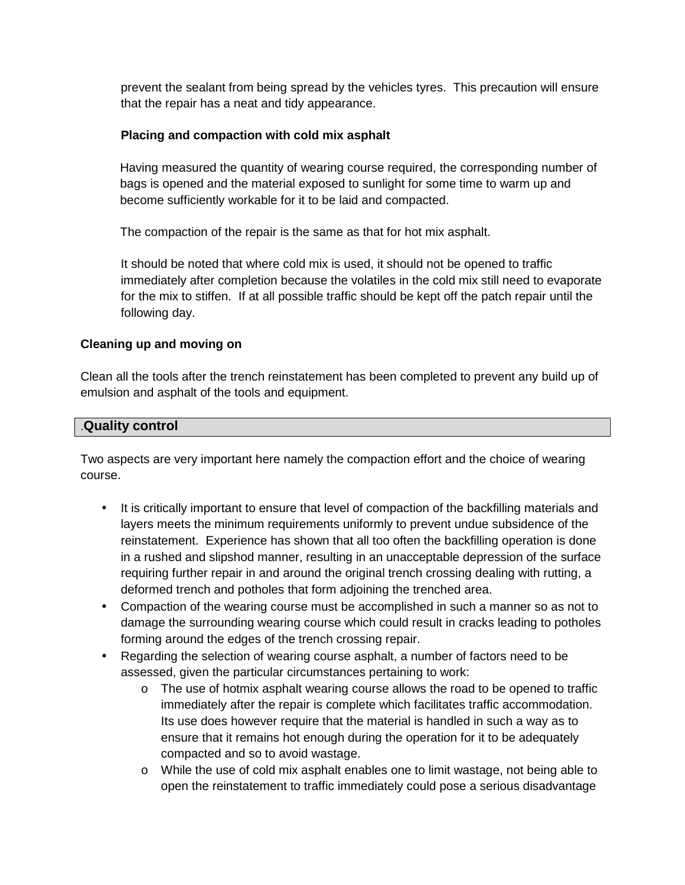prevent the sealant from being spread by the vehicles tyres. This precaution will ensure that the repair has a neat and tidy appearance.

## **Placing and compaction with cold mix asphalt**

Having measured the quantity of wearing course required, the corresponding number of bags is opened and the material exposed to sunlight for some time to warm up and become sufficiently workable for it to be laid and compacted.

The compaction of the repair is the same as that for hot mix asphalt.

It should be noted that where cold mix is used, it should not be opened to traffic immediately after completion because the volatiles in the cold mix still need to evaporate for the mix to stiffen. If at all possible traffic should be kept off the patch repair until the following day.

## **Cleaning up and moving on**

Clean all the tools after the trench reinstatement has been completed to prevent any build up of emulsion and asphalt of the tools and equipment.

## .**Quality control**

Two aspects are very important here namely the compaction effort and the choice of wearing course.

- It is critically important to ensure that level of compaction of the backfilling materials and layers meets the minimum requirements uniformly to prevent undue subsidence of the reinstatement. Experience has shown that all too often the backfilling operation is done in a rushed and slipshod manner, resulting in an unacceptable depression of the surface requiring further repair in and around the original trench crossing dealing with rutting, a deformed trench and potholes that form adjoining the trenched area.
- Compaction of the wearing course must be accomplished in such a manner so as not to damage the surrounding wearing course which could result in cracks leading to potholes forming around the edges of the trench crossing repair.
- Regarding the selection of wearing course asphalt, a number of factors need to be assessed, given the particular circumstances pertaining to work:
	- o The use of hotmix asphalt wearing course allows the road to be opened to traffic immediately after the repair is complete which facilitates traffic accommodation. Its use does however require that the material is handled in such a way as to ensure that it remains hot enough during the operation for it to be adequately compacted and so to avoid wastage.
	- o While the use of cold mix asphalt enables one to limit wastage, not being able to open the reinstatement to traffic immediately could pose a serious disadvantage